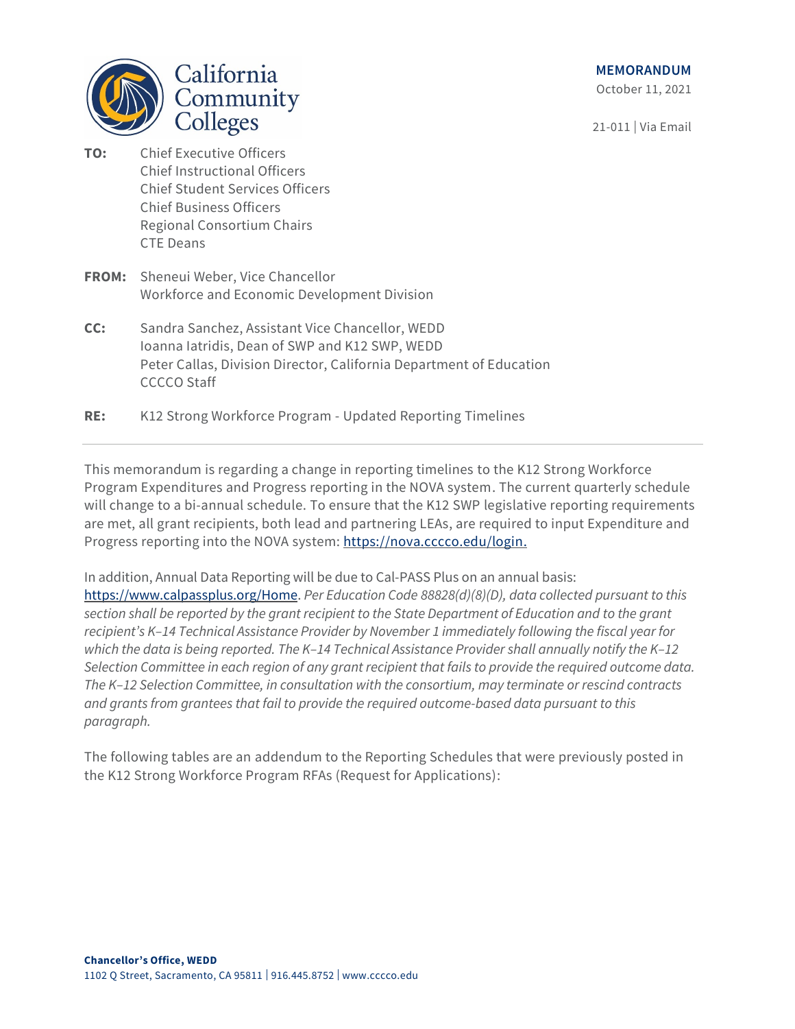**MEMORANDUM** 

October 11, 2021

21-011 | Via Email



- **TO:** Chief Executive Officers Chief Instructional Officers Chief Student Services Officers Chief Business Officers Regional Consortium Chairs CTE Deans
- **FROM:** Sheneui Weber, Vice Chancellor Workforce and Economic Development Division
- **CC:** Sandra Sanchez, Assistant Vice Chancellor, WEDD Ioanna Iatridis, Dean of SWP and K12 SWP, WEDD Peter Callas, Division Director, California Department of Education CCCCO Staff
- **RE:** K12 Strong Workforce Program Updated Reporting Timelines

This memorandum is regarding a change in reporting timelines to the K12 Strong Workforce Program Expenditures and Progress reporting in the NOVA system. The current quarterly schedule will change to a bi-annual schedule. To ensure that the K12 SWP legislative reporting requirements are met, all grant recipients, both lead and partnering LEAs, are required to input Expenditure and Progress reporting into the NOVA system: [https://nova.cccco.edu/login.](https://nova.cccco.edu/login)

In addition, Annual Data Reporting will be due to Cal-PASS Plus on an annual basis: [https://www.calpassplus.org/Home.](https://www.calpassplus.org/Home) *Per Education Code 88828(d)(8)(D), data collected pursuant to this section shall be reported by the grant recipient to the State Department of Education and to the grant recipient's K–14 Technical Assistance Provider by November 1 immediately following the fiscal year for which the data is being reported. The K–14 Technical Assistance Provider shall annually notify the K–12 Selection Committee in each region of any grant recipient that fails to provide the required outcome data. The K–12 Selection Committee, in consultation with the consortium, may terminate or rescind contracts and grants from grantees that fail to provide the required outcome-based data pursuant to this paragraph.*

The following tables are an addendum to the Reporting Schedules that were previously posted in the K12 Strong Workforce Program RFAs (Request for Applications):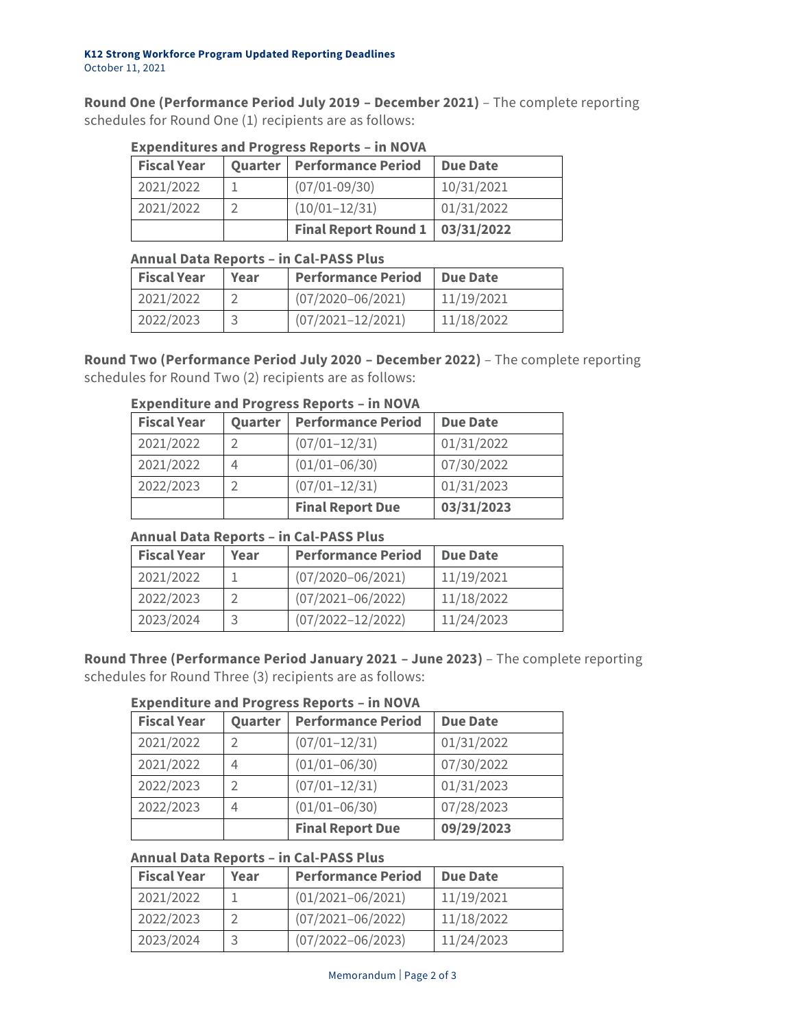**Round One (Performance Period July 2019 – December 2021)** – The complete reporting schedules for Round One (1) recipients are as follows:

| <b>EXPLIMING COMINITION</b> COORDING <b>IIII</b> NOTH |  |                                          |                 |
|-------------------------------------------------------|--|------------------------------------------|-----------------|
| <b>Fiscal Year</b>                                    |  | Quarter   Performance Period             | <b>Due Date</b> |
| 2021/2022                                             |  | $(07/01 - 09/30)$                        | 10/31/2021      |
| 2021/2022                                             |  | $(10/01-12/31)$                          | 01/31/2022      |
|                                                       |  | <b>Final Report Round 1   03/31/2022</b> |                 |

### **Expenditures and Progress Reports – in NOVA**

## **Annual Data Reports – in Cal-PASS Plus**

| <b>Fiscal Year</b> | Year | <b>Performance Period</b> | Due Date   |
|--------------------|------|---------------------------|------------|
| 2021/2022          |      | $(07/2020 - 06/2021)$     | 11/19/2021 |
| 2022/2023          |      | $(07/2021 - 12/2021)$     | 11/18/2022 |

**Round Two (Performance Period July 2020 – December 2022)** – The complete reporting schedules for Round Two (2) recipients are as follows:

| <b>Fiscal Year</b> | Quarter | <b>Performance Period</b> | <b>Due Date</b> |
|--------------------|---------|---------------------------|-----------------|
| 2021/2022          |         | $(07/01 - 12/31)$         | 01/31/2022      |
| 2021/2022          | 4       | $(01/01 - 06/30)$         | 07/30/2022      |
| 2022/2023          |         | $(07/01 - 12/31)$         | 01/31/2023      |
|                    |         | <b>Final Report Due</b>   | 03/31/2023      |

# **Expenditure and Progress Reports – in NOVA**

### **Annual Data Reports – in Cal-PASS Plus**

| <b>Fiscal Year</b> | Year | <b>Performance Period</b> | <b>Due Date</b> |
|--------------------|------|---------------------------|-----------------|
| 2021/2022          |      | $(07/2020 - 06/2021)$     | 11/19/2021      |
| 2022/2023          |      | $(07/2021 - 06/2022)$     | 11/18/2022      |
| 2023/2024          |      | $(07/2022 - 12/2022)$     | 11/24/2023      |

**Round Three (Performance Period January 2021 – June 2023)** – The complete reporting schedules for Round Three (3) recipients are as follows:

### **Expenditure and Progress Reports – in NOVA**

| <b>Fiscal Year</b> | Quarter | <b>Performance Period</b> | <b>Due Date</b> |
|--------------------|---------|---------------------------|-----------------|
| 2021/2022          |         | $(07/01 - 12/31)$         | 01/31/2022      |
| 2021/2022          | 4       | $(01/01 - 06/30)$         | 07/30/2022      |
| 2022/2023          |         | $(07/01 - 12/31)$         | 01/31/2023      |
| 2022/2023          | 4       | $(01/01 - 06/30)$         | 07/28/2023      |
|                    |         | <b>Final Report Due</b>   | 09/29/2023      |

### **Annual Data Reports – in Cal-PASS Plus**

| <b>Fiscal Year</b> | Year | <b>Performance Period</b> | <b>Due Date</b> |
|--------------------|------|---------------------------|-----------------|
| 2021/2022          |      | $(01/2021 - 06/2021)$     | 11/19/2021      |
| 2022/2023          |      | $(07/2021 - 06/2022)$     | 11/18/2022      |
| 2023/2024          |      | $(07/2022 - 06/2023)$     | 11/24/2023      |